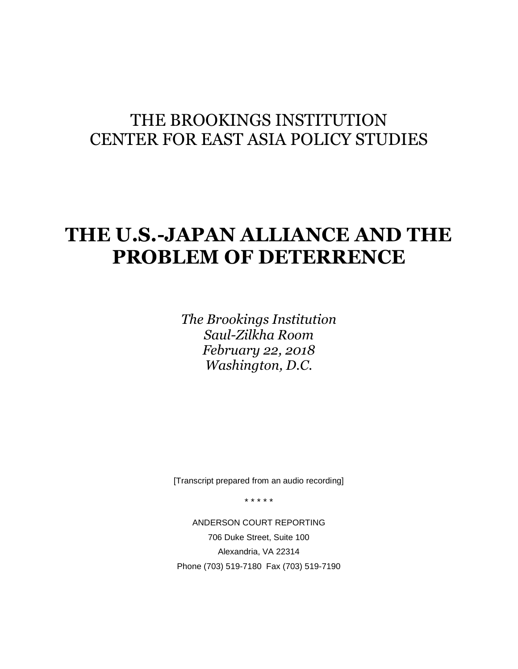# THE BROOKINGS INSTITUTION CENTER FOR EAST ASIA POLICY STUDIES

# **THE U.S.-JAPAN ALLIANCE AND THE PROBLEM OF DETERRENCE**

*The Brookings Institution Saul-Zilkha Room February 22, 2018 Washington, D.C.*

[Transcript prepared from an audio recording]

\* \* \* \* \*

ANDERSON COURT REPORTING 706 Duke Street, Suite 100 Alexandria, VA 22314 Phone (703) 519-7180 Fax (703) 519-7190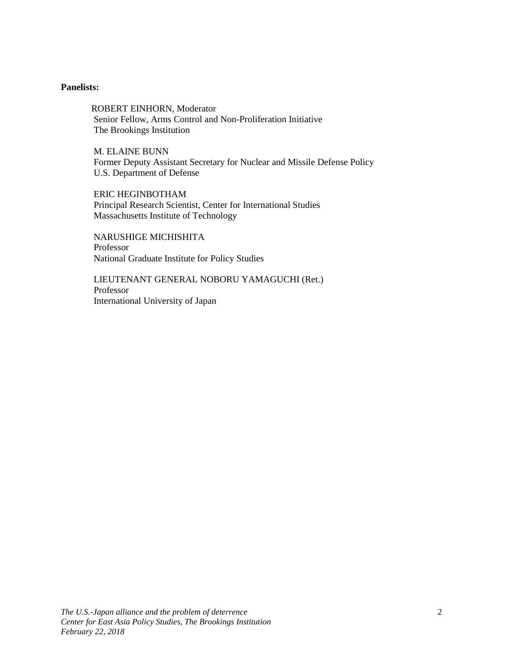# **Panelists:**

ROBERT EINHORN, Moderator Senior Fellow, Arms Control and Non-Proliferation Initiative The Brookings Institution

M. ELAINE BUNN Former Deputy Assistant Secretary for Nuclear and Missile Defense Policy U.S. Department of Defense

ERIC HEGINBOTHAM Principal Research Scientist, Center for International Studies Massachusetts Institute of Technology

NARUSHIGE MICHISHITA Professor National Graduate Institute for Policy Studies

LIEUTENANT GENERAL NOBORU YAMAGUCHI (Ret.) Professor International University of Japan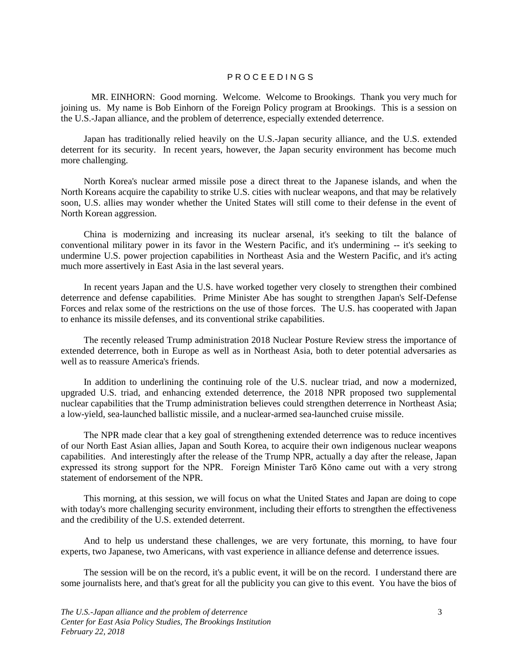### P R O C E E D I N G S

MR. EINHORN: Good morning. Welcome. Welcome to Brookings. Thank you very much for joining us. My name is Bob Einhorn of the Foreign Policy program at Brookings. This is a session on the U.S.-Japan alliance, and the problem of deterrence, especially extended deterrence.

Japan has traditionally relied heavily on the U.S.-Japan security alliance, and the U.S. extended deterrent for its security. In recent years, however, the Japan security environment has become much more challenging.

North Korea's nuclear armed missile pose a direct threat to the Japanese islands, and when the North Koreans acquire the capability to strike U.S. cities with nuclear weapons, and that may be relatively soon, U.S. allies may wonder whether the United States will still come to their defense in the event of North Korean aggression.

China is modernizing and increasing its nuclear arsenal, it's seeking to tilt the balance of conventional military power in its favor in the Western Pacific, and it's undermining -- it's seeking to undermine U.S. power projection capabilities in Northeast Asia and the Western Pacific, and it's acting much more assertively in East Asia in the last several years.

In recent years Japan and the U.S. have worked together very closely to strengthen their combined deterrence and defense capabilities. Prime Minister Abe has sought to strengthen Japan's Self-Defense Forces and relax some of the restrictions on the use of those forces. The U.S. has cooperated with Japan to enhance its missile defenses, and its conventional strike capabilities.

The recently released Trump administration 2018 Nuclear Posture Review stress the importance of extended deterrence, both in Europe as well as in Northeast Asia, both to deter potential adversaries as well as to reassure America's friends.

In addition to underlining the continuing role of the U.S. nuclear triad, and now a modernized, upgraded U.S. triad, and enhancing extended deterrence, the 2018 NPR proposed two supplemental nuclear capabilities that the Trump administration believes could strengthen deterrence in Northeast Asia; a low-yield, sea-launched ballistic missile, and a nuclear-armed sea-launched cruise missile.

The NPR made clear that a key goal of strengthening extended deterrence was to reduce incentives of our North East Asian allies, Japan and South Korea, to acquire their own indigenous nuclear weapons capabilities. And interestingly after the release of the Trump NPR, actually a day after the release, Japan expressed its strong support for the NPR. Foreign Minister Tarō Kōno came out with a very strong statement of endorsement of the NPR.

This morning, at this session, we will focus on what the United States and Japan are doing to cope with today's more challenging security environment, including their efforts to strengthen the effectiveness and the credibility of the U.S. extended deterrent.

And to help us understand these challenges, we are very fortunate, this morning, to have four experts, two Japanese, two Americans, with vast experience in alliance defense and deterrence issues.

The session will be on the record, it's a public event, it will be on the record. I understand there are some journalists here, and that's great for all the publicity you can give to this event. You have the bios of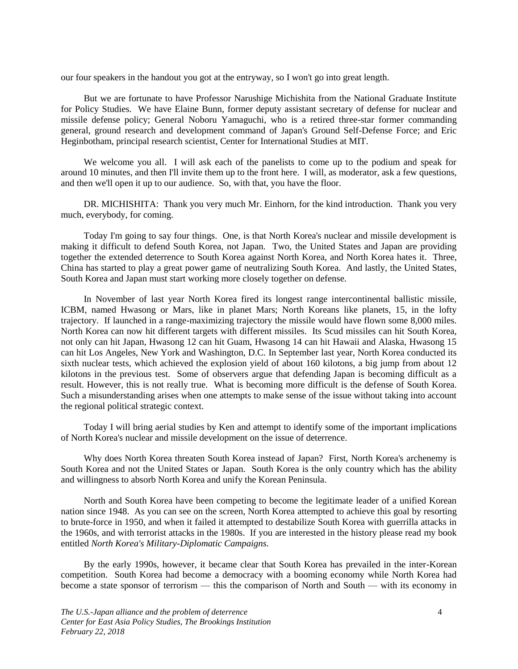our four speakers in the handout you got at the entryway, so I won't go into great length.

But we are fortunate to have Professor Narushige Michishita from the National Graduate Institute for Policy Studies. We have Elaine Bunn, former deputy assistant secretary of defense for nuclear and missile defense policy; General Noboru Yamaguchi, who is a retired three-star former commanding general, ground research and development command of Japan's Ground Self-Defense Force; and Eric Heginbotham, principal research scientist, Center for International Studies at MIT.

We welcome you all. I will ask each of the panelists to come up to the podium and speak for around 10 minutes, and then I'll invite them up to the front here. I will, as moderator, ask a few questions, and then we'll open it up to our audience. So, with that, you have the floor.

DR. MICHISHITA: Thank you very much Mr. Einhorn, for the kind introduction. Thank you very much, everybody, for coming.

Today I'm going to say four things. One, is that North Korea's nuclear and missile development is making it difficult to defend South Korea, not Japan. Two, the United States and Japan are providing together the extended deterrence to South Korea against North Korea, and North Korea hates it. Three, China has started to play a great power game of neutralizing South Korea. And lastly, the United States, South Korea and Japan must start working more closely together on defense.

In November of last year North Korea fired its longest range intercontinental ballistic missile, ICBM, named Hwasong or Mars, like in planet Mars; North Koreans like planets, 15, in the lofty trajectory. If launched in a range-maximizing trajectory the missile would have flown some 8,000 miles. North Korea can now hit different targets with different missiles. Its Scud missiles can hit South Korea, not only can hit Japan, Hwasong 12 can hit Guam, Hwasong 14 can hit Hawaii and Alaska, Hwasong 15 can hit Los Angeles, New York and Washington, D.C. In September last year, North Korea conducted its sixth nuclear tests, which achieved the explosion yield of about 160 kilotons, a big jump from about 12 kilotons in the previous test. Some of observers argue that defending Japan is becoming difficult as a result. However, this is not really true. What is becoming more difficult is the defense of South Korea. Such a misunderstanding arises when one attempts to make sense of the issue without taking into account the regional political strategic context.

Today I will bring aerial studies by Ken and attempt to identify some of the important implications of North Korea's nuclear and missile development on the issue of deterrence.

Why does North Korea threaten South Korea instead of Japan? First, North Korea's archenemy is South Korea and not the United States or Japan. South Korea is the only country which has the ability and willingness to absorb North Korea and unify the Korean Peninsula.

North and South Korea have been competing to become the legitimate leader of a unified Korean nation since 1948. As you can see on the screen, North Korea attempted to achieve this goal by resorting to brute-force in 1950, and when it failed it attempted to destabilize South Korea with guerrilla attacks in the 1960s, and with terrorist attacks in the 1980s. If you are interested in the history please read my book entitled *North Korea's Military-Diplomatic Campaigns*.

By the early 1990s, however, it became clear that South Korea has prevailed in the inter-Korean competition. South Korea had become a democracy with a booming economy while North Korea had become a state sponsor of terrorism — this the comparison of North and South — with its economy in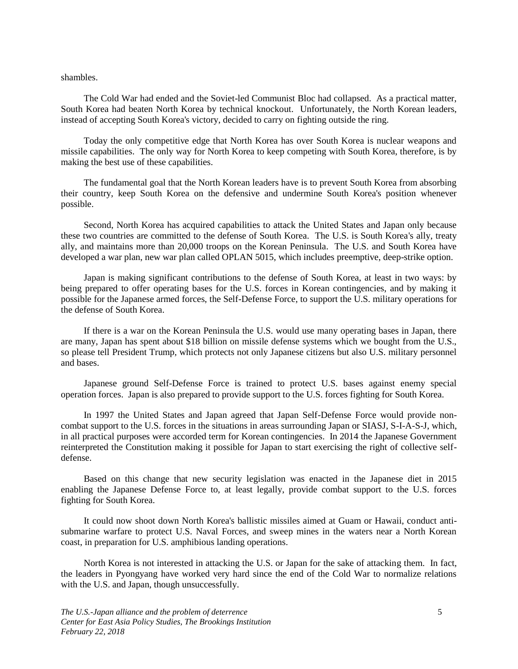shambles.

The Cold War had ended and the Soviet-led Communist Bloc had collapsed. As a practical matter, South Korea had beaten North Korea by technical knockout. Unfortunately, the North Korean leaders, instead of accepting South Korea's victory, decided to carry on fighting outside the ring.

Today the only competitive edge that North Korea has over South Korea is nuclear weapons and missile capabilities. The only way for North Korea to keep competing with South Korea, therefore, is by making the best use of these capabilities.

The fundamental goal that the North Korean leaders have is to prevent South Korea from absorbing their country, keep South Korea on the defensive and undermine South Korea's position whenever possible.

Second, North Korea has acquired capabilities to attack the United States and Japan only because these two countries are committed to the defense of South Korea. The U.S. is South Korea's ally, treaty ally, and maintains more than 20,000 troops on the Korean Peninsula. The U.S. and South Korea have developed a war plan, new war plan called OPLAN 5015, which includes preemptive, deep-strike option.

Japan is making significant contributions to the defense of South Korea, at least in two ways: by being prepared to offer operating bases for the U.S. forces in Korean contingencies, and by making it possible for the Japanese armed forces, the Self-Defense Force, to support the U.S. military operations for the defense of South Korea.

If there is a war on the Korean Peninsula the U.S. would use many operating bases in Japan, there are many, Japan has spent about \$18 billion on missile defense systems which we bought from the U.S., so please tell President Trump, which protects not only Japanese citizens but also U.S. military personnel and bases.

Japanese ground Self-Defense Force is trained to protect U.S. bases against enemy special operation forces. Japan is also prepared to provide support to the U.S. forces fighting for South Korea.

In 1997 the United States and Japan agreed that Japan Self-Defense Force would provide noncombat support to the U.S. forces in the situations in areas surrounding Japan or SIASJ, S-I-A-S-J, which, in all practical purposes were accorded term for Korean contingencies. In 2014 the Japanese Government reinterpreted the Constitution making it possible for Japan to start exercising the right of collective selfdefense.

Based on this change that new security legislation was enacted in the Japanese diet in 2015 enabling the Japanese Defense Force to, at least legally, provide combat support to the U.S. forces fighting for South Korea.

It could now shoot down North Korea's ballistic missiles aimed at Guam or Hawaii, conduct antisubmarine warfare to protect U.S. Naval Forces, and sweep mines in the waters near a North Korean coast, in preparation for U.S. amphibious landing operations.

North Korea is not interested in attacking the U.S. or Japan for the sake of attacking them. In fact, the leaders in Pyongyang have worked very hard since the end of the Cold War to normalize relations with the U.S. and Japan, though unsuccessfully.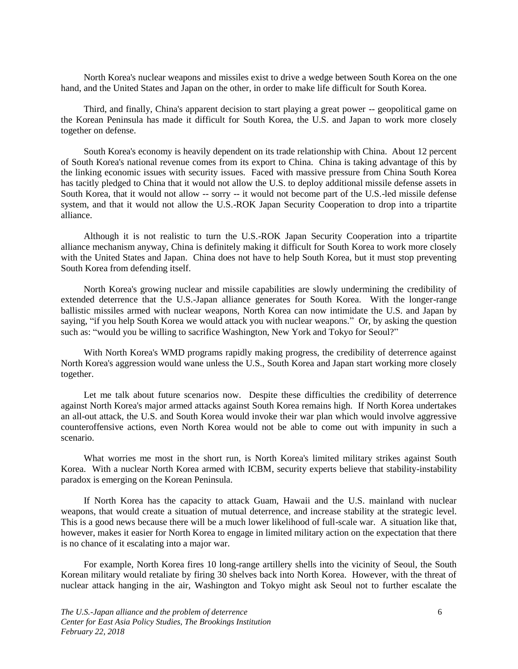North Korea's nuclear weapons and missiles exist to drive a wedge between South Korea on the one hand, and the United States and Japan on the other, in order to make life difficult for South Korea.

Third, and finally, China's apparent decision to start playing a great power -- geopolitical game on the Korean Peninsula has made it difficult for South Korea, the U.S. and Japan to work more closely together on defense.

South Korea's economy is heavily dependent on its trade relationship with China. About 12 percent of South Korea's national revenue comes from its export to China. China is taking advantage of this by the linking economic issues with security issues. Faced with massive pressure from China South Korea has tacitly pledged to China that it would not allow the U.S. to deploy additional missile defense assets in South Korea, that it would not allow -- sorry -- it would not become part of the U.S.-led missile defense system, and that it would not allow the U.S.-ROK Japan Security Cooperation to drop into a tripartite alliance.

Although it is not realistic to turn the U.S.-ROK Japan Security Cooperation into a tripartite alliance mechanism anyway, China is definitely making it difficult for South Korea to work more closely with the United States and Japan. China does not have to help South Korea, but it must stop preventing South Korea from defending itself.

North Korea's growing nuclear and missile capabilities are slowly undermining the credibility of extended deterrence that the U.S.-Japan alliance generates for South Korea. With the longer-range ballistic missiles armed with nuclear weapons, North Korea can now intimidate the U.S. and Japan by saying, "if you help South Korea we would attack you with nuclear weapons." Or, by asking the question such as: "would you be willing to sacrifice Washington, New York and Tokyo for Seoul?"

With North Korea's WMD programs rapidly making progress, the credibility of deterrence against North Korea's aggression would wane unless the U.S., South Korea and Japan start working more closely together.

Let me talk about future scenarios now. Despite these difficulties the credibility of deterrence against North Korea's major armed attacks against South Korea remains high. If North Korea undertakes an all-out attack, the U.S. and South Korea would invoke their war plan which would involve aggressive counteroffensive actions, even North Korea would not be able to come out with impunity in such a scenario.

What worries me most in the short run, is North Korea's limited military strikes against South Korea. With a nuclear North Korea armed with ICBM, security experts believe that stability-instability paradox is emerging on the Korean Peninsula.

If North Korea has the capacity to attack Guam, Hawaii and the U.S. mainland with nuclear weapons, that would create a situation of mutual deterrence, and increase stability at the strategic level. This is a good news because there will be a much lower likelihood of full-scale war. A situation like that, however, makes it easier for North Korea to engage in limited military action on the expectation that there is no chance of it escalating into a major war.

For example, North Korea fires 10 long-range artillery shells into the vicinity of Seoul, the South Korean military would retaliate by firing 30 shelves back into North Korea. However, with the threat of nuclear attack hanging in the air, Washington and Tokyo might ask Seoul not to further escalate the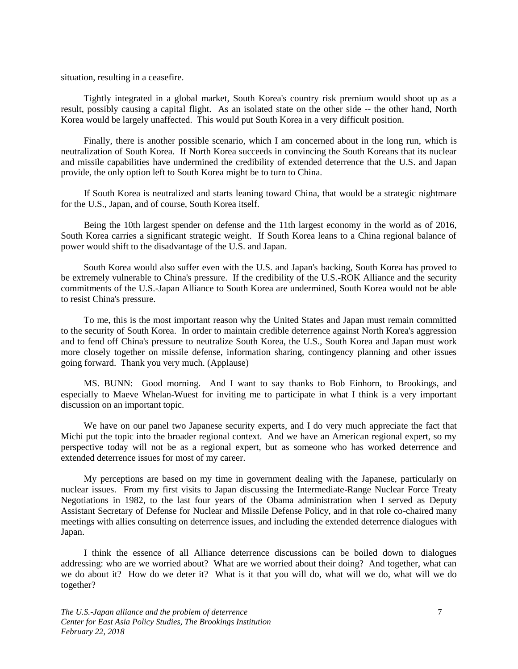situation, resulting in a ceasefire.

Tightly integrated in a global market, South Korea's country risk premium would shoot up as a result, possibly causing a capital flight. As an isolated state on the other side -- the other hand, North Korea would be largely unaffected. This would put South Korea in a very difficult position.

Finally, there is another possible scenario, which I am concerned about in the long run, which is neutralization of South Korea. If North Korea succeeds in convincing the South Koreans that its nuclear and missile capabilities have undermined the credibility of extended deterrence that the U.S. and Japan provide, the only option left to South Korea might be to turn to China.

If South Korea is neutralized and starts leaning toward China, that would be a strategic nightmare for the U.S., Japan, and of course, South Korea itself.

Being the 10th largest spender on defense and the 11th largest economy in the world as of 2016, South Korea carries a significant strategic weight. If South Korea leans to a China regional balance of power would shift to the disadvantage of the U.S. and Japan.

South Korea would also suffer even with the U.S. and Japan's backing, South Korea has proved to be extremely vulnerable to China's pressure. If the credibility of the U.S.-ROK Alliance and the security commitments of the U.S.-Japan Alliance to South Korea are undermined, South Korea would not be able to resist China's pressure.

To me, this is the most important reason why the United States and Japan must remain committed to the security of South Korea. In order to maintain credible deterrence against North Korea's aggression and to fend off China's pressure to neutralize South Korea, the U.S., South Korea and Japan must work more closely together on missile defense, information sharing, contingency planning and other issues going forward. Thank you very much. (Applause)

MS. BUNN: Good morning. And I want to say thanks to Bob Einhorn, to Brookings, and especially to Maeve Whelan-Wuest for inviting me to participate in what I think is a very important discussion on an important topic.

We have on our panel two Japanese security experts, and I do very much appreciate the fact that Michi put the topic into the broader regional context. And we have an American regional expert, so my perspective today will not be as a regional expert, but as someone who has worked deterrence and extended deterrence issues for most of my career.

My perceptions are based on my time in government dealing with the Japanese, particularly on nuclear issues. From my first visits to Japan discussing the Intermediate-Range Nuclear Force Treaty Negotiations in 1982, to the last four years of the Obama administration when I served as Deputy Assistant Secretary of Defense for Nuclear and Missile Defense Policy, and in that role co-chaired many meetings with allies consulting on deterrence issues, and including the extended deterrence dialogues with Japan.

I think the essence of all Alliance deterrence discussions can be boiled down to dialogues addressing: who are we worried about? What are we worried about their doing? And together, what can we do about it? How do we deter it? What is it that you will do, what will we do, what will we do together?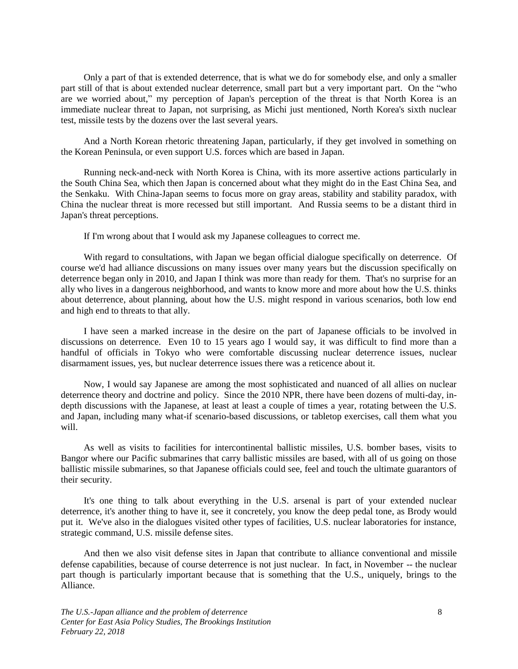Only a part of that is extended deterrence, that is what we do for somebody else, and only a smaller part still of that is about extended nuclear deterrence, small part but a very important part. On the "who are we worried about," my perception of Japan's perception of the threat is that North Korea is an immediate nuclear threat to Japan, not surprising, as Michi just mentioned, North Korea's sixth nuclear test, missile tests by the dozens over the last several years.

And a North Korean rhetoric threatening Japan, particularly, if they get involved in something on the Korean Peninsula, or even support U.S. forces which are based in Japan.

Running neck-and-neck with North Korea is China, with its more assertive actions particularly in the South China Sea, which then Japan is concerned about what they might do in the East China Sea, and the Senkaku. With China-Japan seems to focus more on gray areas, stability and stability paradox, with China the nuclear threat is more recessed but still important. And Russia seems to be a distant third in Japan's threat perceptions.

If I'm wrong about that I would ask my Japanese colleagues to correct me.

With regard to consultations, with Japan we began official dialogue specifically on deterrence. Of course we'd had alliance discussions on many issues over many years but the discussion specifically on deterrence began only in 2010, and Japan I think was more than ready for them. That's no surprise for an ally who lives in a dangerous neighborhood, and wants to know more and more about how the U.S. thinks about deterrence, about planning, about how the U.S. might respond in various scenarios, both low end and high end to threats to that ally.

I have seen a marked increase in the desire on the part of Japanese officials to be involved in discussions on deterrence. Even 10 to 15 years ago I would say, it was difficult to find more than a handful of officials in Tokyo who were comfortable discussing nuclear deterrence issues, nuclear disarmament issues, yes, but nuclear deterrence issues there was a reticence about it.

Now, I would say Japanese are among the most sophisticated and nuanced of all allies on nuclear deterrence theory and doctrine and policy. Since the 2010 NPR, there have been dozens of multi-day, indepth discussions with the Japanese, at least at least a couple of times a year, rotating between the U.S. and Japan, including many what-if scenario-based discussions, or tabletop exercises, call them what you will.

As well as visits to facilities for intercontinental ballistic missiles, U.S. bomber bases, visits to Bangor where our Pacific submarines that carry ballistic missiles are based, with all of us going on those ballistic missile submarines, so that Japanese officials could see, feel and touch the ultimate guarantors of their security.

It's one thing to talk about everything in the U.S. arsenal is part of your extended nuclear deterrence, it's another thing to have it, see it concretely, you know the deep pedal tone, as Brody would put it. We've also in the dialogues visited other types of facilities, U.S. nuclear laboratories for instance, strategic command, U.S. missile defense sites.

And then we also visit defense sites in Japan that contribute to alliance conventional and missile defense capabilities, because of course deterrence is not just nuclear. In fact, in November -- the nuclear part though is particularly important because that is something that the U.S., uniquely, brings to the Alliance.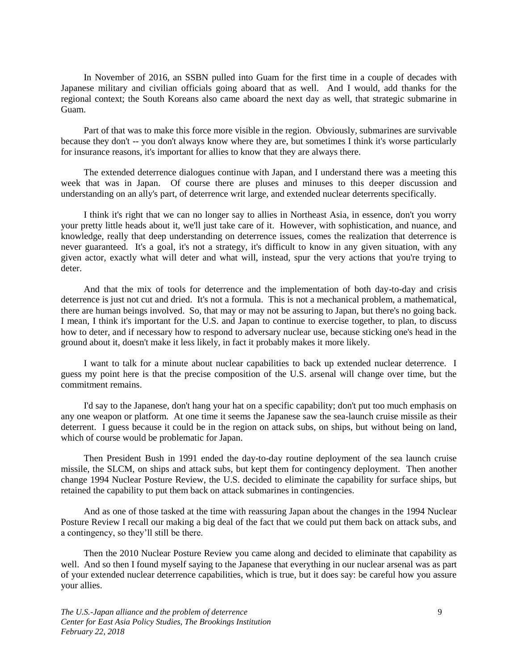In November of 2016, an SSBN pulled into Guam for the first time in a couple of decades with Japanese military and civilian officials going aboard that as well. And I would, add thanks for the regional context; the South Koreans also came aboard the next day as well, that strategic submarine in Guam.

Part of that was to make this force more visible in the region. Obviously, submarines are survivable because they don't -- you don't always know where they are, but sometimes I think it's worse particularly for insurance reasons, it's important for allies to know that they are always there.

The extended deterrence dialogues continue with Japan, and I understand there was a meeting this week that was in Japan. Of course there are pluses and minuses to this deeper discussion and understanding on an ally's part, of deterrence writ large, and extended nuclear deterrents specifically.

I think it's right that we can no longer say to allies in Northeast Asia, in essence, don't you worry your pretty little heads about it, we'll just take care of it. However, with sophistication, and nuance, and knowledge, really that deep understanding on deterrence issues, comes the realization that deterrence is never guaranteed. It's a goal, it's not a strategy, it's difficult to know in any given situation, with any given actor, exactly what will deter and what will, instead, spur the very actions that you're trying to deter.

And that the mix of tools for deterrence and the implementation of both day-to-day and crisis deterrence is just not cut and dried. It's not a formula. This is not a mechanical problem, a mathematical, there are human beings involved. So, that may or may not be assuring to Japan, but there's no going back. I mean, I think it's important for the U.S. and Japan to continue to exercise together, to plan, to discuss how to deter, and if necessary how to respond to adversary nuclear use, because sticking one's head in the ground about it, doesn't make it less likely, in fact it probably makes it more likely.

I want to talk for a minute about nuclear capabilities to back up extended nuclear deterrence. I guess my point here is that the precise composition of the U.S. arsenal will change over time, but the commitment remains.

I'd say to the Japanese, don't hang your hat on a specific capability; don't put too much emphasis on any one weapon or platform. At one time it seems the Japanese saw the sea-launch cruise missile as their deterrent. I guess because it could be in the region on attack subs, on ships, but without being on land, which of course would be problematic for Japan.

Then President Bush in 1991 ended the day-to-day routine deployment of the sea launch cruise missile, the SLCM, on ships and attack subs, but kept them for contingency deployment. Then another change 1994 Nuclear Posture Review, the U.S. decided to eliminate the capability for surface ships, but retained the capability to put them back on attack submarines in contingencies.

And as one of those tasked at the time with reassuring Japan about the changes in the 1994 Nuclear Posture Review I recall our making a big deal of the fact that we could put them back on attack subs, and a contingency, so they'll still be there.

Then the 2010 Nuclear Posture Review you came along and decided to eliminate that capability as well. And so then I found myself saying to the Japanese that everything in our nuclear arsenal was as part of your extended nuclear deterrence capabilities, which is true, but it does say: be careful how you assure your allies.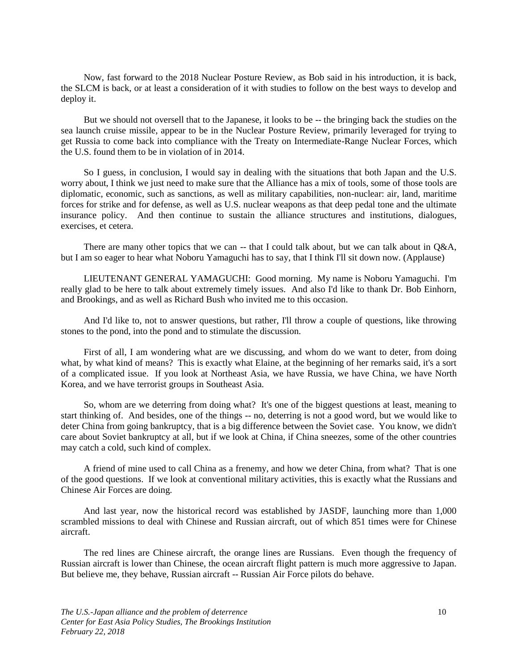Now, fast forward to the 2018 Nuclear Posture Review, as Bob said in his introduction, it is back, the SLCM is back, or at least a consideration of it with studies to follow on the best ways to develop and deploy it.

But we should not oversell that to the Japanese, it looks to be -- the bringing back the studies on the sea launch cruise missile, appear to be in the Nuclear Posture Review, primarily leveraged for trying to get Russia to come back into compliance with the Treaty on Intermediate-Range Nuclear Forces, which the U.S. found them to be in violation of in 2014.

So I guess, in conclusion, I would say in dealing with the situations that both Japan and the U.S. worry about, I think we just need to make sure that the Alliance has a mix of tools, some of those tools are diplomatic, economic, such as sanctions, as well as military capabilities, non-nuclear: air, land, maritime forces for strike and for defense, as well as U.S. nuclear weapons as that deep pedal tone and the ultimate insurance policy. And then continue to sustain the alliance structures and institutions, dialogues, exercises, et cetera.

There are many other topics that we can -- that I could talk about, but we can talk about in Q&A, but I am so eager to hear what Noboru Yamaguchi has to say, that I think I'll sit down now. (Applause)

LIEUTENANT GENERAL YAMAGUCHI: Good morning. My name is Noboru Yamaguchi. I'm really glad to be here to talk about extremely timely issues. And also I'd like to thank Dr. Bob Einhorn, and Brookings, and as well as Richard Bush who invited me to this occasion.

And I'd like to, not to answer questions, but rather, I'll throw a couple of questions, like throwing stones to the pond, into the pond and to stimulate the discussion.

First of all, I am wondering what are we discussing, and whom do we want to deter, from doing what, by what kind of means? This is exactly what Elaine, at the beginning of her remarks said, it's a sort of a complicated issue. If you look at Northeast Asia, we have Russia, we have China, we have North Korea, and we have terrorist groups in Southeast Asia.

So, whom are we deterring from doing what? It's one of the biggest questions at least, meaning to start thinking of. And besides, one of the things -- no, deterring is not a good word, but we would like to deter China from going bankruptcy, that is a big difference between the Soviet case. You know, we didn't care about Soviet bankruptcy at all, but if we look at China, if China sneezes, some of the other countries may catch a cold, such kind of complex.

A friend of mine used to call China as a frenemy, and how we deter China, from what? That is one of the good questions. If we look at conventional military activities, this is exactly what the Russians and Chinese Air Forces are doing.

And last year, now the historical record was established by JASDF, launching more than 1,000 scrambled missions to deal with Chinese and Russian aircraft, out of which 851 times were for Chinese aircraft.

The red lines are Chinese aircraft, the orange lines are Russians. Even though the frequency of Russian aircraft is lower than Chinese, the ocean aircraft flight pattern is much more aggressive to Japan. But believe me, they behave, Russian aircraft -- Russian Air Force pilots do behave.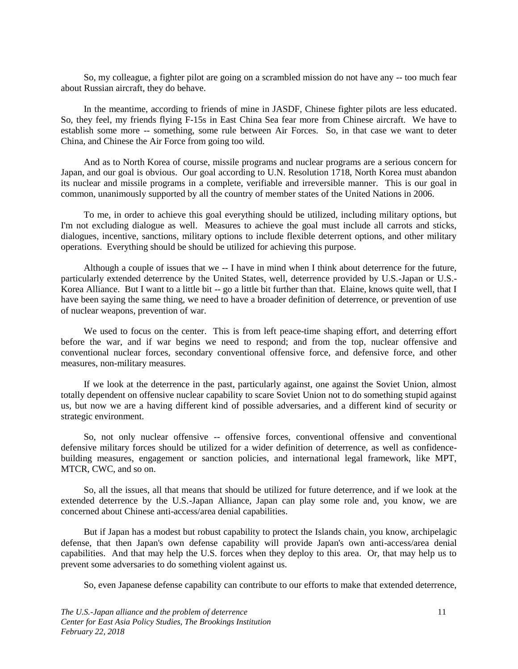So, my colleague, a fighter pilot are going on a scrambled mission do not have any -- too much fear about Russian aircraft, they do behave.

In the meantime, according to friends of mine in JASDF, Chinese fighter pilots are less educated. So, they feel, my friends flying F-15s in East China Sea fear more from Chinese aircraft. We have to establish some more -- something, some rule between Air Forces. So, in that case we want to deter China, and Chinese the Air Force from going too wild.

And as to North Korea of course, missile programs and nuclear programs are a serious concern for Japan, and our goal is obvious. Our goal according to U.N. Resolution 1718, North Korea must abandon its nuclear and missile programs in a complete, verifiable and irreversible manner. This is our goal in common, unanimously supported by all the country of member states of the United Nations in 2006.

To me, in order to achieve this goal everything should be utilized, including military options, but I'm not excluding dialogue as well. Measures to achieve the goal must include all carrots and sticks, dialogues, incentive, sanctions, military options to include flexible deterrent options, and other military operations. Everything should be should be utilized for achieving this purpose.

Although a couple of issues that we -- I have in mind when I think about deterrence for the future, particularly extended deterrence by the United States, well, deterrence provided by U.S.-Japan or U.S.- Korea Alliance. But I want to a little bit -- go a little bit further than that. Elaine, knows quite well, that I have been saying the same thing, we need to have a broader definition of deterrence, or prevention of use of nuclear weapons, prevention of war.

We used to focus on the center. This is from left peace-time shaping effort, and deterring effort before the war, and if war begins we need to respond; and from the top, nuclear offensive and conventional nuclear forces, secondary conventional offensive force, and defensive force, and other measures, non-military measures.

If we look at the deterrence in the past, particularly against, one against the Soviet Union, almost totally dependent on offensive nuclear capability to scare Soviet Union not to do something stupid against us, but now we are a having different kind of possible adversaries, and a different kind of security or strategic environment.

So, not only nuclear offensive -- offensive forces, conventional offensive and conventional defensive military forces should be utilized for a wider definition of deterrence, as well as confidencebuilding measures, engagement or sanction policies, and international legal framework, like MPT, MTCR, CWC, and so on.

So, all the issues, all that means that should be utilized for future deterrence, and if we look at the extended deterrence by the U.S.-Japan Alliance, Japan can play some role and, you know, we are concerned about Chinese anti-access/area denial capabilities.

But if Japan has a modest but robust capability to protect the Islands chain, you know, archipelagic defense, that then Japan's own defense capability will provide Japan's own anti-access/area denial capabilities. And that may help the U.S. forces when they deploy to this area. Or, that may help us to prevent some adversaries to do something violent against us.

So, even Japanese defense capability can contribute to our efforts to make that extended deterrence,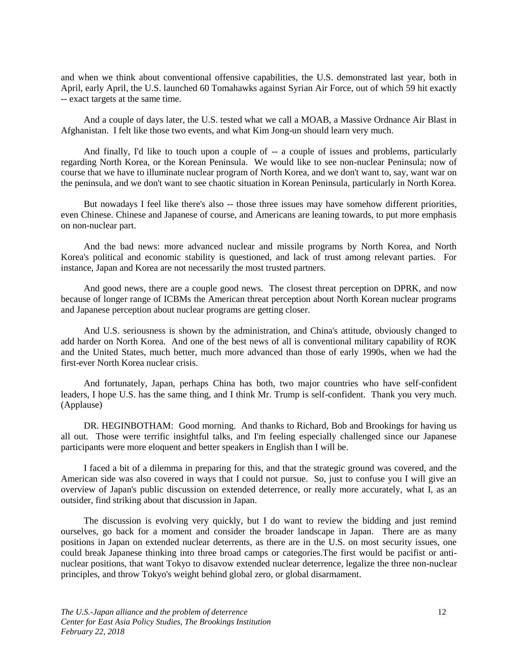and when we think about conventional offensive capabilities, the U.S. demonstrated last year, both in April, early April, the U.S. launched 60 Tomahawks against Syrian Air Force, out of which 59 hit exactly -- exact targets at the same time.

And a couple of days later, the U.S. tested what we call a MOAB, a Massive Ordnance Air Blast in Afghanistan. I felt like those two events, and what Kim Jong-un should learn very much.

And finally, I'd like to touch upon a couple of -- a couple of issues and problems, particularly regarding North Korea, or the Korean Peninsula. We would like to see non-nuclear Peninsula; now of course that we have to illuminate nuclear program of North Korea, and we don't want to, say, want war on the peninsula, and we don't want to see chaotic situation in Korean Peninsula, particularly in North Korea.

But nowadays I feel like there's also -- those three issues may have somehow different priorities, even Chinese. Chinese and Japanese of course, and Americans are leaning towards, to put more emphasis on non-nuclear part.

And the bad news: more advanced nuclear and missile programs by North Korea, and North Korea's political and economic stability is questioned, and lack of trust among relevant parties. For instance, Japan and Korea are not necessarily the most trusted partners.

And good news, there are a couple good news. The closest threat perception on DPRK, and now because of longer range of ICBMs the American threat perception about North Korean nuclear programs and Japanese perception about nuclear programs are getting closer.

And U.S. seriousness is shown by the administration, and China's attitude, obviously changed to add harder on North Korea. And one of the best news of all is conventional military capability of ROK and the United States, much better, much more advanced than those of early 1990s, when we had the first-ever North Korea nuclear crisis.

And fortunately, Japan, perhaps China has both, two major countries who have self-confident leaders, I hope U.S. has the same thing, and I think Mr. Trump is self-confident. Thank you very much. (Applause)

DR. HEGINBOTHAM: Good morning. And thanks to Richard, Bob and Brookings for having us all out. Those were terrific insightful talks, and I'm feeling especially challenged since our Japanese participants were more eloquent and better speakers in English than I will be.

I faced a bit of a dilemma in preparing for this, and that the strategic ground was covered, and the American side was also covered in ways that I could not pursue. So, just to confuse you I will give an overview of Japan's public discussion on extended deterrence, or really more accurately, what I, as an outsider, find striking about that discussion in Japan.

The discussion is evolving very quickly, but I do want to review the bidding and just remind ourselves, go back for a moment and consider the broader landscape in Japan. There are as many positions in Japan on extended nuclear deterrents, as there are in the U.S. on most security issues, one could break Japanese thinking into three broad camps or categories.The first would be pacifist or antinuclear positions, that want Tokyo to disavow extended nuclear deterrence, legalize the three non-nuclear principles, and throw Tokyo's weight behind global zero, or global disarmament.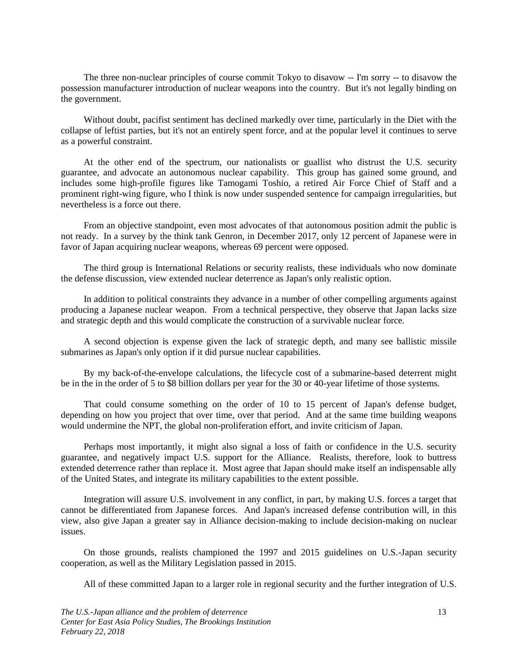The three non-nuclear principles of course commit Tokyo to disavow -- I'm sorry -- to disavow the possession manufacturer introduction of nuclear weapons into the country. But it's not legally binding on the government.

Without doubt, pacifist sentiment has declined markedly over time, particularly in the Diet with the collapse of leftist parties, but it's not an entirely spent force, and at the popular level it continues to serve as a powerful constraint.

At the other end of the spectrum, our nationalists or guallist who distrust the U.S. security guarantee, and advocate an autonomous nuclear capability. This group has gained some ground, and includes some high-profile figures like Tamogami Toshio, a retired Air Force Chief of Staff and a prominent right-wing figure, who I think is now under suspended sentence for campaign irregularities, but nevertheless is a force out there.

From an objective standpoint, even most advocates of that autonomous position admit the public is not ready. In a survey by the think tank Genron, in December 2017, only 12 percent of Japanese were in favor of Japan acquiring nuclear weapons, whereas 69 percent were opposed.

The third group is International Relations or security realists, these individuals who now dominate the defense discussion, view extended nuclear deterrence as Japan's only realistic option.

In addition to political constraints they advance in a number of other compelling arguments against producing a Japanese nuclear weapon. From a technical perspective, they observe that Japan lacks size and strategic depth and this would complicate the construction of a survivable nuclear force.

A second objection is expense given the lack of strategic depth, and many see ballistic missile submarines as Japan's only option if it did pursue nuclear capabilities.

By my back-of-the-envelope calculations, the lifecycle cost of a submarine-based deterrent might be in the in the order of 5 to \$8 billion dollars per year for the 30 or 40-year lifetime of those systems.

That could consume something on the order of 10 to 15 percent of Japan's defense budget, depending on how you project that over time, over that period. And at the same time building weapons would undermine the NPT, the global non-proliferation effort, and invite criticism of Japan.

Perhaps most importantly, it might also signal a loss of faith or confidence in the U.S. security guarantee, and negatively impact U.S. support for the Alliance. Realists, therefore, look to buttress extended deterrence rather than replace it. Most agree that Japan should make itself an indispensable ally of the United States, and integrate its military capabilities to the extent possible.

Integration will assure U.S. involvement in any conflict, in part, by making U.S. forces a target that cannot be differentiated from Japanese forces. And Japan's increased defense contribution will, in this view, also give Japan a greater say in Alliance decision-making to include decision-making on nuclear issues.

On those grounds, realists championed the 1997 and 2015 guidelines on U.S.-Japan security cooperation, as well as the Military Legislation passed in 2015.

All of these committed Japan to a larger role in regional security and the further integration of U.S.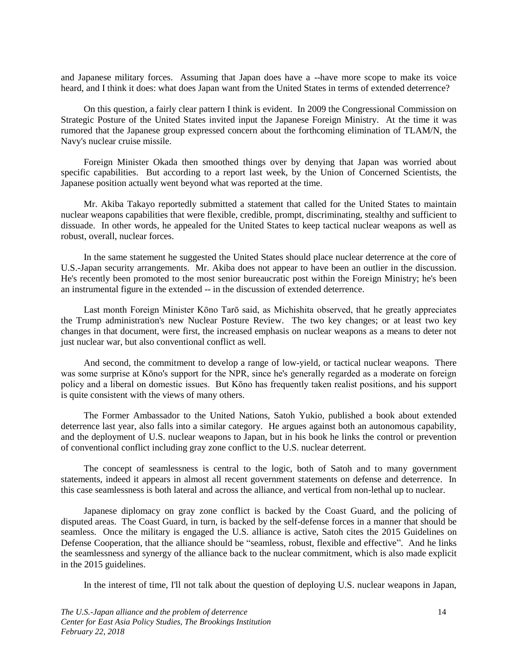and Japanese military forces. Assuming that Japan does have a --have more scope to make its voice heard, and I think it does: what does Japan want from the United States in terms of extended deterrence?

On this question, a fairly clear pattern I think is evident. In 2009 the Congressional Commission on Strategic Posture of the United States invited input the Japanese Foreign Ministry. At the time it was rumored that the Japanese group expressed concern about the forthcoming elimination of TLAM/N, the Navy's nuclear cruise missile.

Foreign Minister Okada then smoothed things over by denying that Japan was worried about specific capabilities. But according to a report last week, by the Union of Concerned Scientists, the Japanese position actually went beyond what was reported at the time.

Mr. Akiba Takayo reportedly submitted a statement that called for the United States to maintain nuclear weapons capabilities that were flexible, credible, prompt, discriminating, stealthy and sufficient to dissuade. In other words, he appealed for the United States to keep tactical nuclear weapons as well as robust, overall, nuclear forces.

In the same statement he suggested the United States should place nuclear deterrence at the core of U.S.-Japan security arrangements. Mr. Akiba does not appear to have been an outlier in the discussion. He's recently been promoted to the most senior bureaucratic post within the Foreign Ministry; he's been an instrumental figure in the extended -- in the discussion of extended deterrence.

Last month Foreign Minister Kōno Tarō said, as Michishita observed, that he greatly appreciates the Trump administration's new Nuclear Posture Review. The two key changes; or at least two key changes in that document, were first, the increased emphasis on nuclear weapons as a means to deter not just nuclear war, but also conventional conflict as well.

And second, the commitment to develop a range of low-yield, or tactical nuclear weapons. There was some surprise at Kōno's support for the NPR, since he's generally regarded as a moderate on foreign policy and a liberal on domestic issues. But Kōno has frequently taken realist positions, and his support is quite consistent with the views of many others.

The Former Ambassador to the United Nations, Satoh Yukio, published a book about extended deterrence last year, also falls into a similar category. He argues against both an autonomous capability, and the deployment of U.S. nuclear weapons to Japan, but in his book he links the control or prevention of conventional conflict including gray zone conflict to the U.S. nuclear deterrent.

The concept of seamlessness is central to the logic, both of Satoh and to many government statements, indeed it appears in almost all recent government statements on defense and deterrence. In this case seamlessness is both lateral and across the alliance, and vertical from non-lethal up to nuclear.

Japanese diplomacy on gray zone conflict is backed by the Coast Guard, and the policing of disputed areas. The Coast Guard, in turn, is backed by the self-defense forces in a manner that should be seamless. Once the military is engaged the U.S. alliance is active, Satoh cites the 2015 Guidelines on Defense Cooperation, that the alliance should be "seamless, robust, flexible and effective". And he links the seamlessness and synergy of the alliance back to the nuclear commitment, which is also made explicit in the 2015 guidelines.

In the interest of time, I'll not talk about the question of deploying U.S. nuclear weapons in Japan,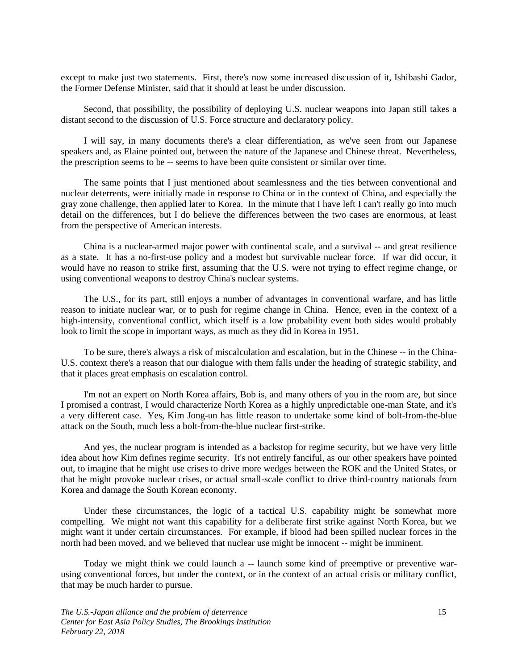except to make just two statements. First, there's now some increased discussion of it, Ishibashi Gador, the Former Defense Minister, said that it should at least be under discussion.

Second, that possibility, the possibility of deploying U.S. nuclear weapons into Japan still takes a distant second to the discussion of U.S. Force structure and declaratory policy.

I will say, in many documents there's a clear differentiation, as we've seen from our Japanese speakers and, as Elaine pointed out, between the nature of the Japanese and Chinese threat. Nevertheless, the prescription seems to be -- seems to have been quite consistent or similar over time.

The same points that I just mentioned about seamlessness and the ties between conventional and nuclear deterrents, were initially made in response to China or in the context of China, and especially the gray zone challenge, then applied later to Korea. In the minute that I have left I can't really go into much detail on the differences, but I do believe the differences between the two cases are enormous, at least from the perspective of American interests.

China is a nuclear-armed major power with continental scale, and a survival -- and great resilience as a state. It has a no-first-use policy and a modest but survivable nuclear force. If war did occur, it would have no reason to strike first, assuming that the U.S. were not trying to effect regime change, or using conventional weapons to destroy China's nuclear systems.

The U.S., for its part, still enjoys a number of advantages in conventional warfare, and has little reason to initiate nuclear war, or to push for regime change in China. Hence, even in the context of a high-intensity, conventional conflict, which itself is a low probability event both sides would probably look to limit the scope in important ways, as much as they did in Korea in 1951.

To be sure, there's always a risk of miscalculation and escalation, but in the Chinese -- in the China-U.S. context there's a reason that our dialogue with them falls under the heading of strategic stability, and that it places great emphasis on escalation control.

I'm not an expert on North Korea affairs, Bob is, and many others of you in the room are, but since I promised a contrast, I would characterize North Korea as a highly unpredictable one-man State, and it's a very different case. Yes, Kim Jong-un has little reason to undertake some kind of bolt-from-the-blue attack on the South, much less a bolt-from-the-blue nuclear first-strike.

And yes, the nuclear program is intended as a backstop for regime security, but we have very little idea about how Kim defines regime security. It's not entirely fanciful, as our other speakers have pointed out, to imagine that he might use crises to drive more wedges between the ROK and the United States, or that he might provoke nuclear crises, or actual small-scale conflict to drive third-country nationals from Korea and damage the South Korean economy.

Under these circumstances, the logic of a tactical U.S. capability might be somewhat more compelling. We might not want this capability for a deliberate first strike against North Korea, but we might want it under certain circumstances. For example, if blood had been spilled nuclear forces in the north had been moved, and we believed that nuclear use might be innocent -- might be imminent.

Today we might think we could launch a -- launch some kind of preemptive or preventive warusing conventional forces, but under the context, or in the context of an actual crisis or military conflict, that may be much harder to pursue.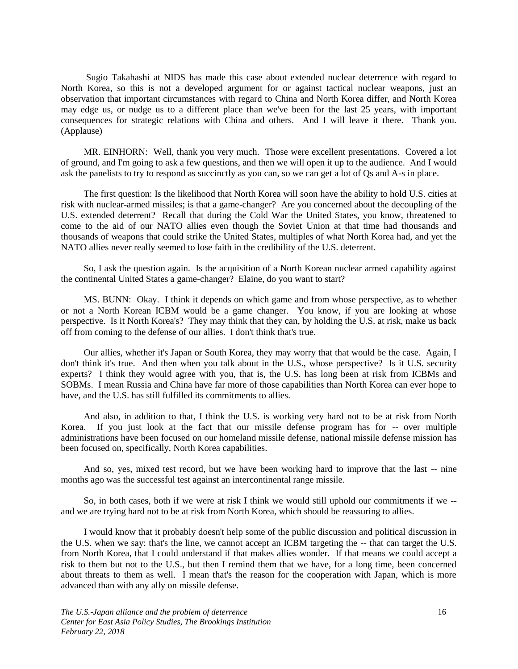Sugio Takahashi at NIDS has made this case about extended nuclear deterrence with regard to North Korea, so this is not a developed argument for or against tactical nuclear weapons, just an observation that important circumstances with regard to China and North Korea differ, and North Korea may edge us, or nudge us to a different place than we've been for the last 25 years, with important consequences for strategic relations with China and others. And I will leave it there. Thank you. (Applause)

MR. EINHORN: Well, thank you very much. Those were excellent presentations. Covered a lot of ground, and I'm going to ask a few questions, and then we will open it up to the audience. And I would ask the panelists to try to respond as succinctly as you can, so we can get a lot of Qs and A-s in place.

The first question: Is the likelihood that North Korea will soon have the ability to hold U.S. cities at risk with nuclear-armed missiles; is that a game-changer? Are you concerned about the decoupling of the U.S. extended deterrent? Recall that during the Cold War the United States, you know, threatened to come to the aid of our NATO allies even though the Soviet Union at that time had thousands and thousands of weapons that could strike the United States, multiples of what North Korea had, and yet the NATO allies never really seemed to lose faith in the credibility of the U.S. deterrent.

So, I ask the question again. Is the acquisition of a North Korean nuclear armed capability against the continental United States a game-changer? Elaine, do you want to start?

MS. BUNN: Okay. I think it depends on which game and from whose perspective, as to whether or not a North Korean ICBM would be a game changer. You know, if you are looking at whose perspective. Is it North Korea's? They may think that they can, by holding the U.S. at risk, make us back off from coming to the defense of our allies. I don't think that's true.

Our allies, whether it's Japan or South Korea, they may worry that that would be the case. Again, I don't think it's true. And then when you talk about in the U.S., whose perspective? Is it U.S. security experts? I think they would agree with you, that is, the U.S. has long been at risk from ICBMs and SOBMs. I mean Russia and China have far more of those capabilities than North Korea can ever hope to have, and the U.S. has still fulfilled its commitments to allies.

And also, in addition to that, I think the U.S. is working very hard not to be at risk from North Korea. If you just look at the fact that our missile defense program has for -- over multiple administrations have been focused on our homeland missile defense, national missile defense mission has been focused on, specifically, North Korea capabilities.

And so, yes, mixed test record, but we have been working hard to improve that the last -- nine months ago was the successful test against an intercontinental range missile.

So, in both cases, both if we were at risk I think we would still uphold our commitments if we - and we are trying hard not to be at risk from North Korea, which should be reassuring to allies.

I would know that it probably doesn't help some of the public discussion and political discussion in the U.S. when we say: that's the line, we cannot accept an ICBM targeting the -- that can target the U.S. from North Korea, that I could understand if that makes allies wonder. If that means we could accept a risk to them but not to the U.S., but then I remind them that we have, for a long time, been concerned about threats to them as well. I mean that's the reason for the cooperation with Japan, which is more advanced than with any ally on missile defense.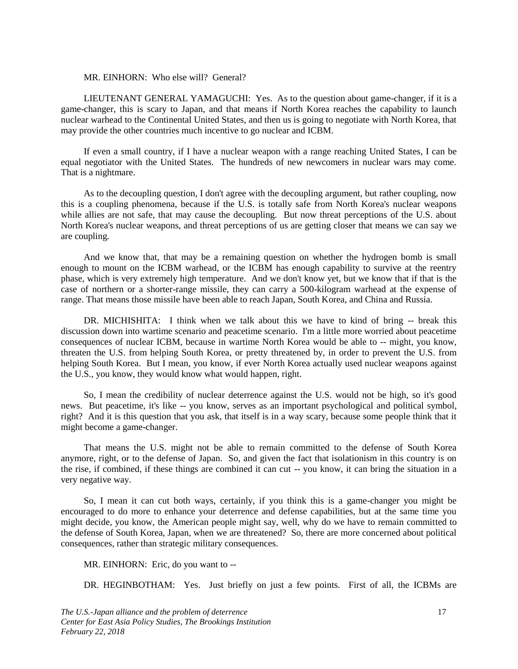#### MR. EINHORN: Who else will? General?

LIEUTENANT GENERAL YAMAGUCHI: Yes. As to the question about game-changer, if it is a game-changer, this is scary to Japan, and that means if North Korea reaches the capability to launch nuclear warhead to the Continental United States, and then us is going to negotiate with North Korea, that may provide the other countries much incentive to go nuclear and ICBM.

If even a small country, if I have a nuclear weapon with a range reaching United States, I can be equal negotiator with the United States. The hundreds of new newcomers in nuclear wars may come. That is a nightmare.

As to the decoupling question, I don't agree with the decoupling argument, but rather coupling, now this is a coupling phenomena, because if the U.S. is totally safe from North Korea's nuclear weapons while allies are not safe, that may cause the decoupling. But now threat perceptions of the U.S. about North Korea's nuclear weapons, and threat perceptions of us are getting closer that means we can say we are coupling.

And we know that, that may be a remaining question on whether the hydrogen bomb is small enough to mount on the ICBM warhead, or the ICBM has enough capability to survive at the reentry phase, which is very extremely high temperature. And we don't know yet, but we know that if that is the case of northern or a shorter-range missile, they can carry a 500-kilogram warhead at the expense of range. That means those missile have been able to reach Japan, South Korea, and China and Russia.

DR. MICHISHITA: I think when we talk about this we have to kind of bring -- break this discussion down into wartime scenario and peacetime scenario. I'm a little more worried about peacetime consequences of nuclear ICBM, because in wartime North Korea would be able to -- might, you know, threaten the U.S. from helping South Korea, or pretty threatened by, in order to prevent the U.S. from helping South Korea. But I mean, you know, if ever North Korea actually used nuclear weapons against the U.S., you know, they would know what would happen, right.

So, I mean the credibility of nuclear deterrence against the U.S. would not be high, so it's good news. But peacetime, it's like -- you know, serves as an important psychological and political symbol, right? And it is this question that you ask, that itself is in a way scary, because some people think that it might become a game-changer.

That means the U.S. might not be able to remain committed to the defense of South Korea anymore, right, or to the defense of Japan. So, and given the fact that isolationism in this country is on the rise, if combined, if these things are combined it can cut -- you know, it can bring the situation in a very negative way.

So, I mean it can cut both ways, certainly, if you think this is a game-changer you might be encouraged to do more to enhance your deterrence and defense capabilities, but at the same time you might decide, you know, the American people might say, well, why do we have to remain committed to the defense of South Korea, Japan, when we are threatened? So, there are more concerned about political consequences, rather than strategic military consequences.

MR. EINHORN: Eric, do you want to --

DR. HEGINBOTHAM: Yes. Just briefly on just a few points. First of all, the ICBMs are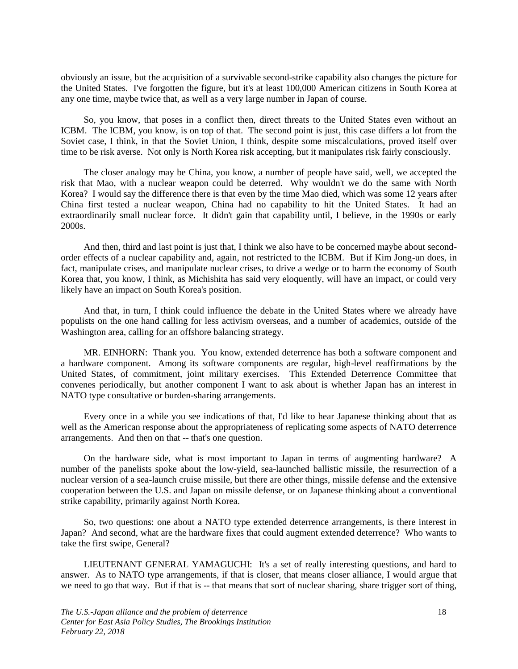obviously an issue, but the acquisition of a survivable second-strike capability also changes the picture for the United States. I've forgotten the figure, but it's at least 100,000 American citizens in South Korea at any one time, maybe twice that, as well as a very large number in Japan of course.

So, you know, that poses in a conflict then, direct threats to the United States even without an ICBM. The ICBM, you know, is on top of that. The second point is just, this case differs a lot from the Soviet case, I think, in that the Soviet Union, I think, despite some miscalculations, proved itself over time to be risk averse. Not only is North Korea risk accepting, but it manipulates risk fairly consciously.

The closer analogy may be China, you know, a number of people have said, well, we accepted the risk that Mao, with a nuclear weapon could be deterred. Why wouldn't we do the same with North Korea? I would say the difference there is that even by the time Mao died, which was some 12 years after China first tested a nuclear weapon, China had no capability to hit the United States. It had an extraordinarily small nuclear force. It didn't gain that capability until, I believe, in the 1990s or early 2000s.

And then, third and last point is just that, I think we also have to be concerned maybe about secondorder effects of a nuclear capability and, again, not restricted to the ICBM. But if Kim Jong-un does, in fact, manipulate crises, and manipulate nuclear crises, to drive a wedge or to harm the economy of South Korea that, you know, I think, as Michishita has said very eloquently, will have an impact, or could very likely have an impact on South Korea's position.

And that, in turn, I think could influence the debate in the United States where we already have populists on the one hand calling for less activism overseas, and a number of academics, outside of the Washington area, calling for an offshore balancing strategy.

MR. EINHORN: Thank you. You know, extended deterrence has both a software component and a hardware component. Among its software components are regular, high-level reaffirmations by the United States, of commitment, joint military exercises. This Extended Deterrence Committee that convenes periodically, but another component I want to ask about is whether Japan has an interest in NATO type consultative or burden-sharing arrangements.

Every once in a while you see indications of that, I'd like to hear Japanese thinking about that as well as the American response about the appropriateness of replicating some aspects of NATO deterrence arrangements. And then on that -- that's one question.

On the hardware side, what is most important to Japan in terms of augmenting hardware? A number of the panelists spoke about the low-yield, sea-launched ballistic missile, the resurrection of a nuclear version of a sea-launch cruise missile, but there are other things, missile defense and the extensive cooperation between the U.S. and Japan on missile defense, or on Japanese thinking about a conventional strike capability, primarily against North Korea.

So, two questions: one about a NATO type extended deterrence arrangements, is there interest in Japan? And second, what are the hardware fixes that could augment extended deterrence? Who wants to take the first swipe, General?

LIEUTENANT GENERAL YAMAGUCHI: It's a set of really interesting questions, and hard to answer. As to NATO type arrangements, if that is closer, that means closer alliance, I would argue that we need to go that way. But if that is -- that means that sort of nuclear sharing, share trigger sort of thing,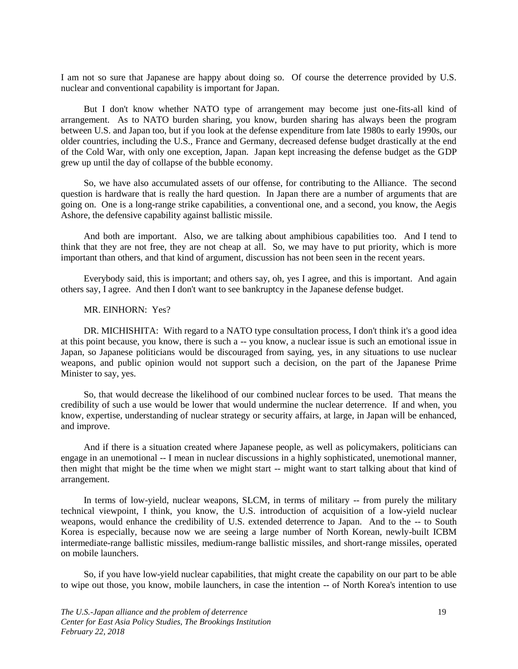I am not so sure that Japanese are happy about doing so. Of course the deterrence provided by U.S. nuclear and conventional capability is important for Japan.

But I don't know whether NATO type of arrangement may become just one-fits-all kind of arrangement. As to NATO burden sharing, you know, burden sharing has always been the program between U.S. and Japan too, but if you look at the defense expenditure from late 1980s to early 1990s, our older countries, including the U.S., France and Germany, decreased defense budget drastically at the end of the Cold War, with only one exception, Japan. Japan kept increasing the defense budget as the GDP grew up until the day of collapse of the bubble economy.

So, we have also accumulated assets of our offense, for contributing to the Alliance. The second question is hardware that is really the hard question. In Japan there are a number of arguments that are going on. One is a long-range strike capabilities, a conventional one, and a second, you know, the Aegis Ashore, the defensive capability against ballistic missile.

And both are important. Also, we are talking about amphibious capabilities too. And I tend to think that they are not free, they are not cheap at all. So, we may have to put priority, which is more important than others, and that kind of argument, discussion has not been seen in the recent years.

Everybody said, this is important; and others say, oh, yes I agree, and this is important. And again others say, I agree. And then I don't want to see bankruptcy in the Japanese defense budget.

#### MR. EINHORN: Yes?

DR. MICHISHITA: With regard to a NATO type consultation process, I don't think it's a good idea at this point because, you know, there is such a -- you know, a nuclear issue is such an emotional issue in Japan, so Japanese politicians would be discouraged from saying, yes, in any situations to use nuclear weapons, and public opinion would not support such a decision, on the part of the Japanese Prime Minister to say, yes.

So, that would decrease the likelihood of our combined nuclear forces to be used. That means the credibility of such a use would be lower that would undermine the nuclear deterrence. If and when, you know, expertise, understanding of nuclear strategy or security affairs, at large, in Japan will be enhanced, and improve.

And if there is a situation created where Japanese people, as well as policymakers, politicians can engage in an unemotional -- I mean in nuclear discussions in a highly sophisticated, unemotional manner, then might that might be the time when we might start -- might want to start talking about that kind of arrangement.

In terms of low-yield, nuclear weapons, SLCM, in terms of military -- from purely the military technical viewpoint, I think, you know, the U.S. introduction of acquisition of a low-yield nuclear weapons, would enhance the credibility of U.S. extended deterrence to Japan. And to the -- to South Korea is especially, because now we are seeing a large number of North Korean, newly-built ICBM intermediate-range ballistic missiles, medium-range ballistic missiles, and short-range missiles, operated on mobile launchers.

So, if you have low-yield nuclear capabilities, that might create the capability on our part to be able to wipe out those, you know, mobile launchers, in case the intention -- of North Korea's intention to use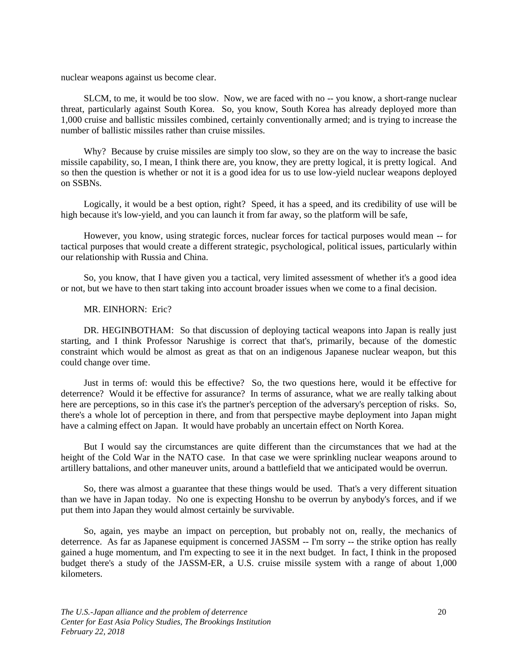nuclear weapons against us become clear.

SLCM, to me, it would be too slow. Now, we are faced with no -- you know, a short-range nuclear threat, particularly against South Korea. So, you know, South Korea has already deployed more than 1,000 cruise and ballistic missiles combined, certainly conventionally armed; and is trying to increase the number of ballistic missiles rather than cruise missiles.

Why? Because by cruise missiles are simply too slow, so they are on the way to increase the basic missile capability, so, I mean, I think there are, you know, they are pretty logical, it is pretty logical. And so then the question is whether or not it is a good idea for us to use low-yield nuclear weapons deployed on SSBNs.

Logically, it would be a best option, right? Speed, it has a speed, and its credibility of use will be high because it's low-yield, and you can launch it from far away, so the platform will be safe,

However, you know, using strategic forces, nuclear forces for tactical purposes would mean -- for tactical purposes that would create a different strategic, psychological, political issues, particularly within our relationship with Russia and China.

So, you know, that I have given you a tactical, very limited assessment of whether it's a good idea or not, but we have to then start taking into account broader issues when we come to a final decision.

#### MR. EINHORN: Eric?

DR. HEGINBOTHAM: So that discussion of deploying tactical weapons into Japan is really just starting, and I think Professor Narushige is correct that that's, primarily, because of the domestic constraint which would be almost as great as that on an indigenous Japanese nuclear weapon, but this could change over time.

Just in terms of: would this be effective? So, the two questions here, would it be effective for deterrence? Would it be effective for assurance? In terms of assurance, what we are really talking about here are perceptions, so in this case it's the partner's perception of the adversary's perception of risks. So, there's a whole lot of perception in there, and from that perspective maybe deployment into Japan might have a calming effect on Japan. It would have probably an uncertain effect on North Korea.

But I would say the circumstances are quite different than the circumstances that we had at the height of the Cold War in the NATO case. In that case we were sprinkling nuclear weapons around to artillery battalions, and other maneuver units, around a battlefield that we anticipated would be overrun.

So, there was almost a guarantee that these things would be used. That's a very different situation than we have in Japan today. No one is expecting Honshu to be overrun by anybody's forces, and if we put them into Japan they would almost certainly be survivable.

So, again, yes maybe an impact on perception, but probably not on, really, the mechanics of deterrence. As far as Japanese equipment is concerned JASSM -- I'm sorry -- the strike option has really gained a huge momentum, and I'm expecting to see it in the next budget. In fact, I think in the proposed budget there's a study of the JASSM-ER, a U.S. cruise missile system with a range of about 1,000 kilometers.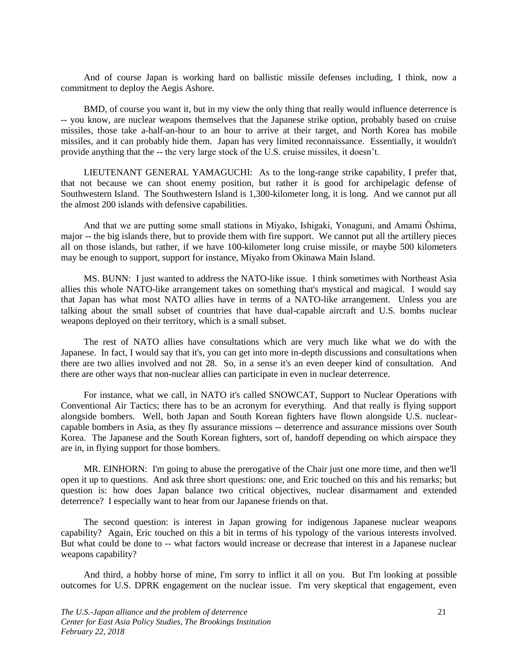And of course Japan is working hard on ballistic missile defenses including, I think, now a commitment to deploy the Aegis Ashore.

BMD, of course you want it, but in my view the only thing that really would influence deterrence is -- you know, are nuclear weapons themselves that the Japanese strike option, probably based on cruise missiles, those take a-half-an-hour to an hour to arrive at their target, and North Korea has mobile missiles, and it can probably hide them. Japan has very limited reconnaissance. Essentially, it wouldn't provide anything that the -- the very large stock of the U.S. cruise missiles, it doesn't.

LIEUTENANT GENERAL YAMAGUCHI: As to the long-range strike capability, I prefer that, that not because we can shoot enemy position, but rather it is good for archipelagic defense of Southwestern Island. The Southwestern Island is 1,300-kilometer long, it is long. And we cannot put all the almost 200 islands with defensive capabilities.

And that we are putting some small stations in Miyako, Ishigaki, Yonaguni, and Amami Ōshima, major -- the big islands there, but to provide them with fire support. We cannot put all the artillery pieces all on those islands, but rather, if we have 100-kilometer long cruise missile, or maybe 500 kilometers may be enough to support, support for instance, Miyako from Okinawa Main Island.

MS. BUNN: I just wanted to address the NATO-like issue. I think sometimes with Northeast Asia allies this whole NATO-like arrangement takes on something that's mystical and magical. I would say that Japan has what most NATO allies have in terms of a NATO-like arrangement. Unless you are talking about the small subset of countries that have dual-capable aircraft and U.S. bombs nuclear weapons deployed on their territory, which is a small subset.

The rest of NATO allies have consultations which are very much like what we do with the Japanese. In fact, I would say that it's, you can get into more in-depth discussions and consultations when there are two allies involved and not 28. So, in a sense it's an even deeper kind of consultation. And there are other ways that non-nuclear allies can participate in even in nuclear deterrence.

For instance, what we call, in NATO it's called SNOWCAT, Support to Nuclear Operations with Conventional Air Tactics; there has to be an acronym for everything. And that really is flying support alongside bombers. Well, both Japan and South Korean fighters have flown alongside U.S. nuclearcapable bombers in Asia, as they fly assurance missions -- deterrence and assurance missions over South Korea. The Japanese and the South Korean fighters, sort of, handoff depending on which airspace they are in, in flying support for those bombers.

MR. EINHORN: I'm going to abuse the prerogative of the Chair just one more time, and then we'll open it up to questions. And ask three short questions: one, and Eric touched on this and his remarks; but question is: how does Japan balance two critical objectives, nuclear disarmament and extended deterrence? I especially want to hear from our Japanese friends on that.

The second question: is interest in Japan growing for indigenous Japanese nuclear weapons capability? Again, Eric touched on this a bit in terms of his typology of the various interests involved. But what could be done to -- what factors would increase or decrease that interest in a Japanese nuclear weapons capability?

And third, a hobby horse of mine, I'm sorry to inflict it all on you. But I'm looking at possible outcomes for U.S. DPRK engagement on the nuclear issue. I'm very skeptical that engagement, even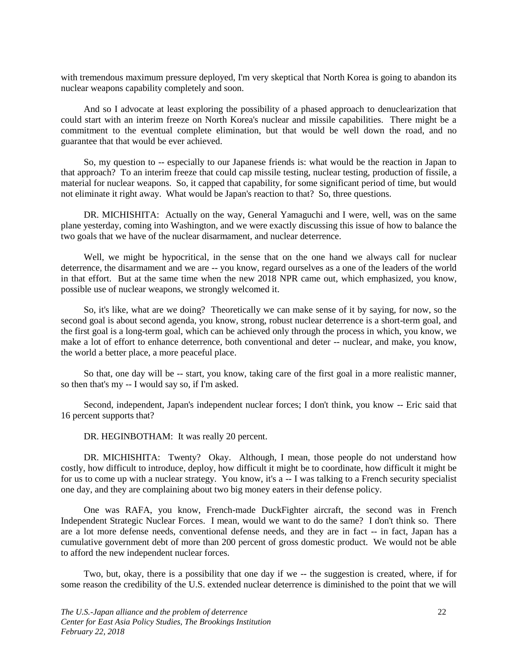with tremendous maximum pressure deployed, I'm very skeptical that North Korea is going to abandon its nuclear weapons capability completely and soon.

And so I advocate at least exploring the possibility of a phased approach to denuclearization that could start with an interim freeze on North Korea's nuclear and missile capabilities. There might be a commitment to the eventual complete elimination, but that would be well down the road, and no guarantee that that would be ever achieved.

So, my question to -- especially to our Japanese friends is: what would be the reaction in Japan to that approach? To an interim freeze that could cap missile testing, nuclear testing, production of fissile, a material for nuclear weapons. So, it capped that capability, for some significant period of time, but would not eliminate it right away. What would be Japan's reaction to that? So, three questions.

DR. MICHISHITA: Actually on the way, General Yamaguchi and I were, well, was on the same plane yesterday, coming into Washington, and we were exactly discussing this issue of how to balance the two goals that we have of the nuclear disarmament, and nuclear deterrence.

Well, we might be hypocritical, in the sense that on the one hand we always call for nuclear deterrence, the disarmament and we are -- you know, regard ourselves as a one of the leaders of the world in that effort. But at the same time when the new 2018 NPR came out, which emphasized, you know, possible use of nuclear weapons, we strongly welcomed it.

So, it's like, what are we doing? Theoretically we can make sense of it by saying, for now, so the second goal is about second agenda, you know, strong, robust nuclear deterrence is a short-term goal, and the first goal is a long-term goal, which can be achieved only through the process in which, you know, we make a lot of effort to enhance deterrence, both conventional and deter -- nuclear, and make, you know, the world a better place, a more peaceful place.

So that, one day will be -- start, you know, taking care of the first goal in a more realistic manner, so then that's my -- I would say so, if I'm asked.

Second, independent, Japan's independent nuclear forces; I don't think, you know -- Eric said that 16 percent supports that?

DR. HEGINBOTHAM: It was really 20 percent.

DR. MICHISHITA: Twenty? Okay. Although, I mean, those people do not understand how costly, how difficult to introduce, deploy, how difficult it might be to coordinate, how difficult it might be for us to come up with a nuclear strategy. You know, it's a -- I was talking to a French security specialist one day, and they are complaining about two big money eaters in their defense policy.

One was RAFA, you know, French-made DuckFighter aircraft, the second was in French Independent Strategic Nuclear Forces. I mean, would we want to do the same? I don't think so. There are a lot more defense needs, conventional defense needs, and they are in fact -- in fact, Japan has a cumulative government debt of more than 200 percent of gross domestic product. We would not be able to afford the new independent nuclear forces.

Two, but, okay, there is a possibility that one day if we -- the suggestion is created, where, if for some reason the credibility of the U.S. extended nuclear deterrence is diminished to the point that we will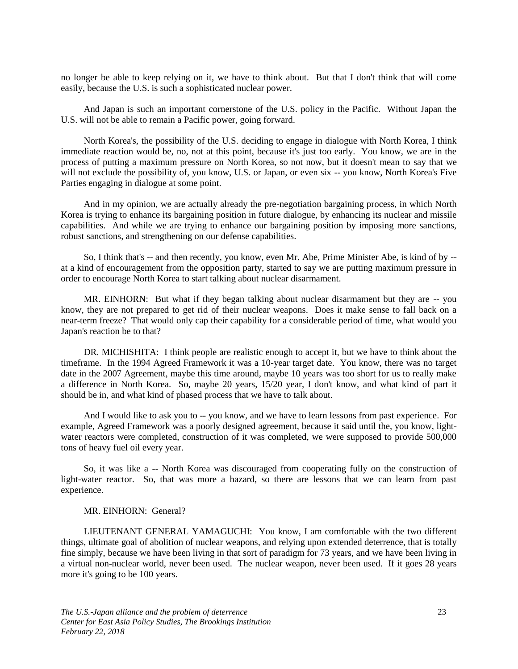no longer be able to keep relying on it, we have to think about. But that I don't think that will come easily, because the U.S. is such a sophisticated nuclear power.

And Japan is such an important cornerstone of the U.S. policy in the Pacific. Without Japan the U.S. will not be able to remain a Pacific power, going forward.

North Korea's, the possibility of the U.S. deciding to engage in dialogue with North Korea, I think immediate reaction would be, no, not at this point, because it's just too early. You know, we are in the process of putting a maximum pressure on North Korea, so not now, but it doesn't mean to say that we will not exclude the possibility of, you know, U.S. or Japan, or even six -- you know, North Korea's Five Parties engaging in dialogue at some point.

And in my opinion, we are actually already the pre-negotiation bargaining process, in which North Korea is trying to enhance its bargaining position in future dialogue, by enhancing its nuclear and missile capabilities. And while we are trying to enhance our bargaining position by imposing more sanctions, robust sanctions, and strengthening on our defense capabilities.

So, I think that's -- and then recently, you know, even Mr. Abe, Prime Minister Abe, is kind of by - at a kind of encouragement from the opposition party, started to say we are putting maximum pressure in order to encourage North Korea to start talking about nuclear disarmament.

MR. EINHORN: But what if they began talking about nuclear disarmament but they are -- you know, they are not prepared to get rid of their nuclear weapons. Does it make sense to fall back on a near-term freeze? That would only cap their capability for a considerable period of time, what would you Japan's reaction be to that?

DR. MICHISHITA: I think people are realistic enough to accept it, but we have to think about the timeframe. In the 1994 Agreed Framework it was a 10-year target date. You know, there was no target date in the 2007 Agreement, maybe this time around, maybe 10 years was too short for us to really make a difference in North Korea. So, maybe 20 years, 15/20 year, I don't know, and what kind of part it should be in, and what kind of phased process that we have to talk about.

And I would like to ask you to -- you know, and we have to learn lessons from past experience. For example, Agreed Framework was a poorly designed agreement, because it said until the, you know, lightwater reactors were completed, construction of it was completed, we were supposed to provide 500,000 tons of heavy fuel oil every year.

So, it was like a -- North Korea was discouraged from cooperating fully on the construction of light-water reactor. So, that was more a hazard, so there are lessons that we can learn from past experience.

#### MR. EINHORN: General?

LIEUTENANT GENERAL YAMAGUCHI: You know, I am comfortable with the two different things, ultimate goal of abolition of nuclear weapons, and relying upon extended deterrence, that is totally fine simply, because we have been living in that sort of paradigm for 73 years, and we have been living in a virtual non-nuclear world, never been used. The nuclear weapon, never been used. If it goes 28 years more it's going to be 100 years.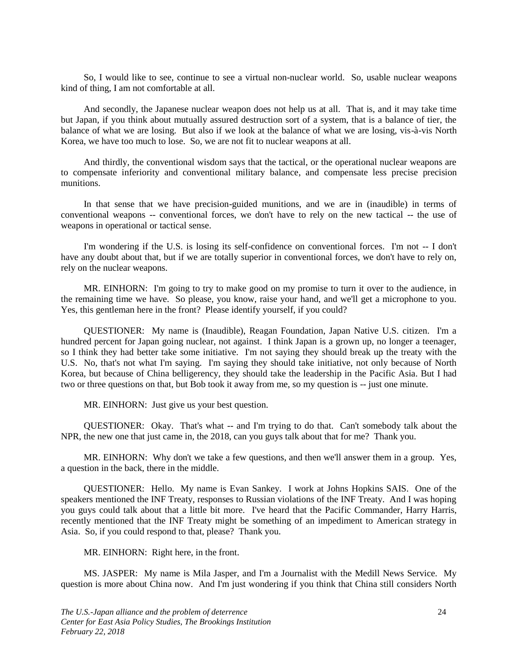So, I would like to see, continue to see a virtual non-nuclear world. So, usable nuclear weapons kind of thing, I am not comfortable at all.

And secondly, the Japanese nuclear weapon does not help us at all. That is, and it may take time but Japan, if you think about mutually assured destruction sort of a system, that is a balance of tier, the balance of what we are losing. But also if we look at the balance of what we are losing, vis-à-vis North Korea, we have too much to lose. So, we are not fit to nuclear weapons at all.

And thirdly, the conventional wisdom says that the tactical, or the operational nuclear weapons are to compensate inferiority and conventional military balance, and compensate less precise precision munitions.

In that sense that we have precision-guided munitions, and we are in (inaudible) in terms of conventional weapons -- conventional forces, we don't have to rely on the new tactical -- the use of weapons in operational or tactical sense.

I'm wondering if the U.S. is losing its self-confidence on conventional forces. I'm not -- I don't have any doubt about that, but if we are totally superior in conventional forces, we don't have to rely on, rely on the nuclear weapons.

MR. EINHORN: I'm going to try to make good on my promise to turn it over to the audience, in the remaining time we have. So please, you know, raise your hand, and we'll get a microphone to you. Yes, this gentleman here in the front? Please identify yourself, if you could?

QUESTIONER: My name is (Inaudible), Reagan Foundation, Japan Native U.S. citizen. I'm a hundred percent for Japan going nuclear, not against. I think Japan is a grown up, no longer a teenager, so I think they had better take some initiative. I'm not saying they should break up the treaty with the U.S. No, that's not what I'm saying. I'm saying they should take initiative, not only because of North Korea, but because of China belligerency, they should take the leadership in the Pacific Asia. But I had two or three questions on that, but Bob took it away from me, so my question is -- just one minute.

MR. EINHORN: Just give us your best question.

QUESTIONER: Okay. That's what -- and I'm trying to do that. Can't somebody talk about the NPR, the new one that just came in, the 2018, can you guys talk about that for me? Thank you.

MR. EINHORN: Why don't we take a few questions, and then we'll answer them in a group. Yes, a question in the back, there in the middle.

QUESTIONER: Hello. My name is Evan Sankey. I work at Johns Hopkins SAIS. One of the speakers mentioned the INF Treaty, responses to Russian violations of the INF Treaty. And I was hoping you guys could talk about that a little bit more. I've heard that the Pacific Commander, Harry Harris, recently mentioned that the INF Treaty might be something of an impediment to American strategy in Asia. So, if you could respond to that, please? Thank you.

MR. EINHORN: Right here, in the front.

MS. JASPER: My name is Mila Jasper, and I'm a Journalist with the Medill News Service. My question is more about China now. And I'm just wondering if you think that China still considers North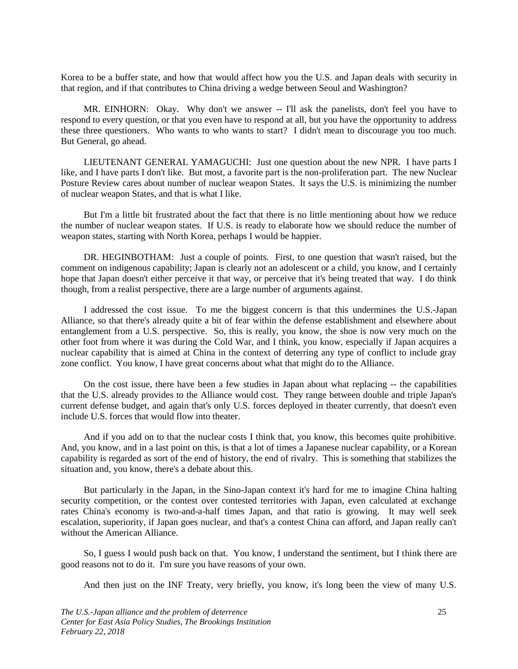Korea to be a buffer state, and how that would affect how you the U.S. and Japan deals with security in that region, and if that contributes to China driving a wedge between Seoul and Washington?

MR. EINHORN: Okay. Why don't we answer -- I'll ask the panelists, don't feel you have to respond to every question, or that you even have to respond at all, but you have the opportunity to address these three questioners. Who wants to who wants to start? I didn't mean to discourage you too much. But General, go ahead.

LIEUTENANT GENERAL YAMAGUCHI: Just one question about the new NPR. I have parts I like, and I have parts I don't like. But most, a favorite part is the non-proliferation part. The new Nuclear Posture Review cares about number of nuclear weapon States. It says the U.S. is minimizing the number of nuclear weapon States, and that is what I like.

But I'm a little bit frustrated about the fact that there is no little mentioning about how we reduce the number of nuclear weapon states. If U.S. is ready to elaborate how we should reduce the number of weapon states, starting with North Korea, perhaps I would be happier.

DR. HEGINBOTHAM: Just a couple of points. First, to one question that wasn't raised, but the comment on indigenous capability; Japan is clearly not an adolescent or a child, you know, and I certainly hope that Japan doesn't either perceive it that way, or perceive that it's being treated that way. I do think though, from a realist perspective, there are a large number of arguments against.

I addressed the cost issue. To me the biggest concern is that this undermines the U.S.-Japan Alliance, so that there's already quite a bit of fear within the defense establishment and elsewhere about entanglement from a U.S. perspective. So, this is really, you know, the shoe is now very much on the other foot from where it was during the Cold War, and I think, you know, especially if Japan acquires a nuclear capability that is aimed at China in the context of deterring any type of conflict to include gray zone conflict. You know, I have great concerns about what that might do to the Alliance.

On the cost issue, there have been a few studies in Japan about what replacing -- the capabilities that the U.S. already provides to the Alliance would cost. They range between double and triple Japan's current defense budget, and again that's only U.S. forces deployed in theater currently, that doesn't even include U.S. forces that would flow into theater.

And if you add on to that the nuclear costs I think that, you know, this becomes quite prohibitive. And, you know, and in a last point on this, is that a lot of times a Japanese nuclear capability, or a Korean capability is regarded as sort of the end of history, the end of rivalry. This is something that stabilizes the situation and, you know, there's a debate about this.

But particularly in the Japan, in the Sino-Japan context it's hard for me to imagine China halting security competition, or the contest over contested territories with Japan, even calculated at exchange rates China's economy is two-and-a-half times Japan, and that ratio is growing. It may well seek escalation, superiority, if Japan goes nuclear, and that's a contest China can afford, and Japan really can't without the American Alliance.

So, I guess I would push back on that. You know, I understand the sentiment, but I think there are good reasons not to do it. I'm sure you have reasons of your own.

And then just on the INF Treaty, very briefly, you know, it's long been the view of many U.S.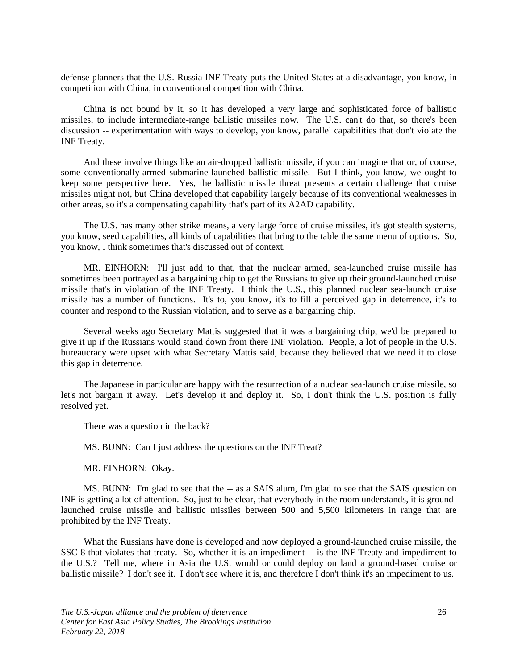defense planners that the U.S.-Russia INF Treaty puts the United States at a disadvantage, you know, in competition with China, in conventional competition with China.

China is not bound by it, so it has developed a very large and sophisticated force of ballistic missiles, to include intermediate-range ballistic missiles now. The U.S. can't do that, so there's been discussion -- experimentation with ways to develop, you know, parallel capabilities that don't violate the INF Treaty.

And these involve things like an air-dropped ballistic missile, if you can imagine that or, of course, some conventionally-armed submarine-launched ballistic missile. But I think, you know, we ought to keep some perspective here. Yes, the ballistic missile threat presents a certain challenge that cruise missiles might not, but China developed that capability largely because of its conventional weaknesses in other areas, so it's a compensating capability that's part of its A2AD capability.

The U.S. has many other strike means, a very large force of cruise missiles, it's got stealth systems, you know, seed capabilities, all kinds of capabilities that bring to the table the same menu of options. So, you know, I think sometimes that's discussed out of context.

MR. EINHORN: I'll just add to that, that the nuclear armed, sea-launched cruise missile has sometimes been portrayed as a bargaining chip to get the Russians to give up their ground-launched cruise missile that's in violation of the INF Treaty. I think the U.S., this planned nuclear sea-launch cruise missile has a number of functions. It's to, you know, it's to fill a perceived gap in deterrence, it's to counter and respond to the Russian violation, and to serve as a bargaining chip.

Several weeks ago Secretary Mattis suggested that it was a bargaining chip, we'd be prepared to give it up if the Russians would stand down from there INF violation. People, a lot of people in the U.S. bureaucracy were upset with what Secretary Mattis said, because they believed that we need it to close this gap in deterrence.

The Japanese in particular are happy with the resurrection of a nuclear sea-launch cruise missile, so let's not bargain it away. Let's develop it and deploy it. So, I don't think the U.S. position is fully resolved yet.

There was a question in the back?

MS. BUNN: Can I just address the questions on the INF Treat?

MR. EINHORN: Okay.

MS. BUNN: I'm glad to see that the -- as a SAIS alum, I'm glad to see that the SAIS question on INF is getting a lot of attention. So, just to be clear, that everybody in the room understands, it is groundlaunched cruise missile and ballistic missiles between 500 and 5,500 kilometers in range that are prohibited by the INF Treaty.

What the Russians have done is developed and now deployed a ground-launched cruise missile, the SSC-8 that violates that treaty. So, whether it is an impediment -- is the INF Treaty and impediment to the U.S.? Tell me, where in Asia the U.S. would or could deploy on land a ground-based cruise or ballistic missile? I don't see it. I don't see where it is, and therefore I don't think it's an impediment to us.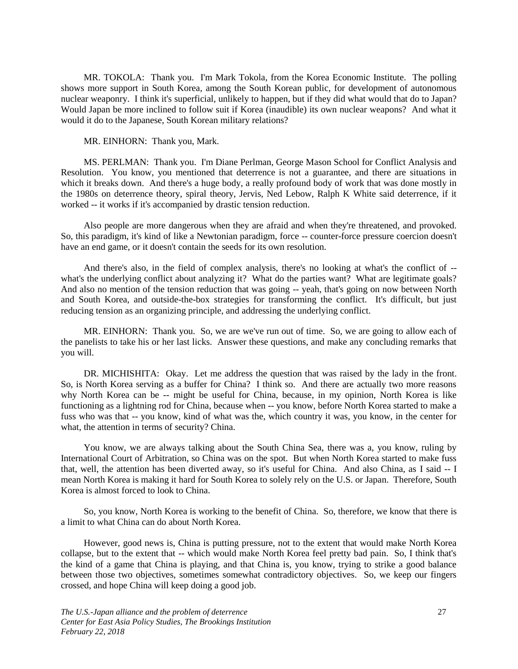MR. TOKOLA: Thank you. I'm Mark Tokola, from the Korea Economic Institute. The polling shows more support in South Korea, among the South Korean public, for development of autonomous nuclear weaponry. I think it's superficial, unlikely to happen, but if they did what would that do to Japan? Would Japan be more inclined to follow suit if Korea (inaudible) its own nuclear weapons? And what it would it do to the Japanese, South Korean military relations?

MR. EINHORN: Thank you, Mark.

MS. PERLMAN: Thank you. I'm Diane Perlman, George Mason School for Conflict Analysis and Resolution. You know, you mentioned that deterrence is not a guarantee, and there are situations in which it breaks down. And there's a huge body, a really profound body of work that was done mostly in the 1980s on deterrence theory, spiral theory, Jervis, Ned Lebow, Ralph K White said deterrence, if it worked -- it works if it's accompanied by drastic tension reduction.

Also people are more dangerous when they are afraid and when they're threatened, and provoked. So, this paradigm, it's kind of like a Newtonian paradigm, force -- counter-force pressure coercion doesn't have an end game, or it doesn't contain the seeds for its own resolution.

And there's also, in the field of complex analysis, there's no looking at what's the conflict of - what's the underlying conflict about analyzing it? What do the parties want? What are legitimate goals? And also no mention of the tension reduction that was going -- yeah, that's going on now between North and South Korea, and outside-the-box strategies for transforming the conflict. It's difficult, but just reducing tension as an organizing principle, and addressing the underlying conflict.

MR. EINHORN: Thank you. So, we are we've run out of time. So, we are going to allow each of the panelists to take his or her last licks. Answer these questions, and make any concluding remarks that you will.

DR. MICHISHITA: Okay. Let me address the question that was raised by the lady in the front. So, is North Korea serving as a buffer for China? I think so. And there are actually two more reasons why North Korea can be -- might be useful for China, because, in my opinion, North Korea is like functioning as a lightning rod for China, because when -- you know, before North Korea started to make a fuss who was that -- you know, kind of what was the, which country it was, you know, in the center for what, the attention in terms of security? China.

You know, we are always talking about the South China Sea, there was a, you know, ruling by International Court of Arbitration, so China was on the spot. But when North Korea started to make fuss that, well, the attention has been diverted away, so it's useful for China. And also China, as I said -- I mean North Korea is making it hard for South Korea to solely rely on the U.S. or Japan. Therefore, South Korea is almost forced to look to China.

So, you know, North Korea is working to the benefit of China. So, therefore, we know that there is a limit to what China can do about North Korea.

However, good news is, China is putting pressure, not to the extent that would make North Korea collapse, but to the extent that -- which would make North Korea feel pretty bad pain. So, I think that's the kind of a game that China is playing, and that China is, you know, trying to strike a good balance between those two objectives, sometimes somewhat contradictory objectives. So, we keep our fingers crossed, and hope China will keep doing a good job.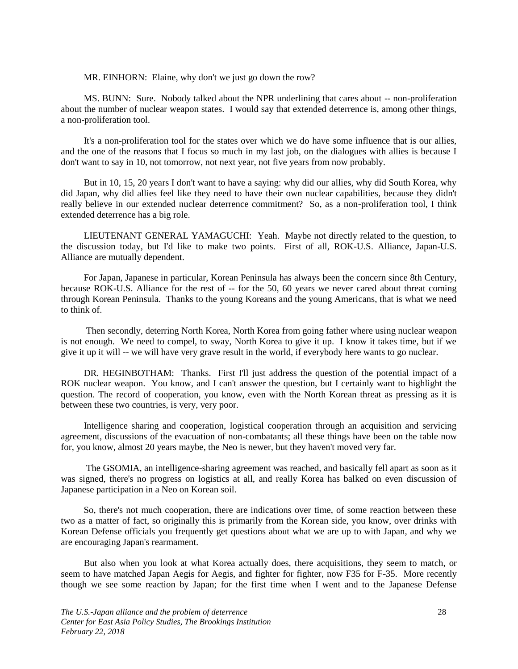MR. EINHORN: Elaine, why don't we just go down the row?

MS. BUNN: Sure. Nobody talked about the NPR underlining that cares about -- non-proliferation about the number of nuclear weapon states. I would say that extended deterrence is, among other things, a non-proliferation tool.

It's a non-proliferation tool for the states over which we do have some influence that is our allies, and the one of the reasons that I focus so much in my last job, on the dialogues with allies is because I don't want to say in 10, not tomorrow, not next year, not five years from now probably.

But in 10, 15, 20 years I don't want to have a saying: why did our allies, why did South Korea, why did Japan, why did allies feel like they need to have their own nuclear capabilities, because they didn't really believe in our extended nuclear deterrence commitment? So, as a non-proliferation tool, I think extended deterrence has a big role.

LIEUTENANT GENERAL YAMAGUCHI: Yeah. Maybe not directly related to the question, to the discussion today, but I'd like to make two points. First of all, ROK-U.S. Alliance, Japan-U.S. Alliance are mutually dependent.

For Japan, Japanese in particular, Korean Peninsula has always been the concern since 8th Century, because ROK-U.S. Alliance for the rest of -- for the 50, 60 years we never cared about threat coming through Korean Peninsula. Thanks to the young Koreans and the young Americans, that is what we need to think of.

Then secondly, deterring North Korea, North Korea from going father where using nuclear weapon is not enough. We need to compel, to sway, North Korea to give it up. I know it takes time, but if we give it up it will -- we will have very grave result in the world, if everybody here wants to go nuclear.

DR. HEGINBOTHAM: Thanks. First I'll just address the question of the potential impact of a ROK nuclear weapon. You know, and I can't answer the question, but I certainly want to highlight the question. The record of cooperation, you know, even with the North Korean threat as pressing as it is between these two countries, is very, very poor.

Intelligence sharing and cooperation, logistical cooperation through an acquisition and servicing agreement, discussions of the evacuation of non-combatants; all these things have been on the table now for, you know, almost 20 years maybe, the Neo is newer, but they haven't moved very far.

The GSOMIA, an intelligence-sharing agreement was reached, and basically fell apart as soon as it was signed, there's no progress on logistics at all, and really Korea has balked on even discussion of Japanese participation in a Neo on Korean soil.

So, there's not much cooperation, there are indications over time, of some reaction between these two as a matter of fact, so originally this is primarily from the Korean side, you know, over drinks with Korean Defense officials you frequently get questions about what we are up to with Japan, and why we are encouraging Japan's rearmament.

But also when you look at what Korea actually does, there acquisitions, they seem to match, or seem to have matched Japan Aegis for Aegis, and fighter for fighter, now F35 for F-35. More recently though we see some reaction by Japan; for the first time when I went and to the Japanese Defense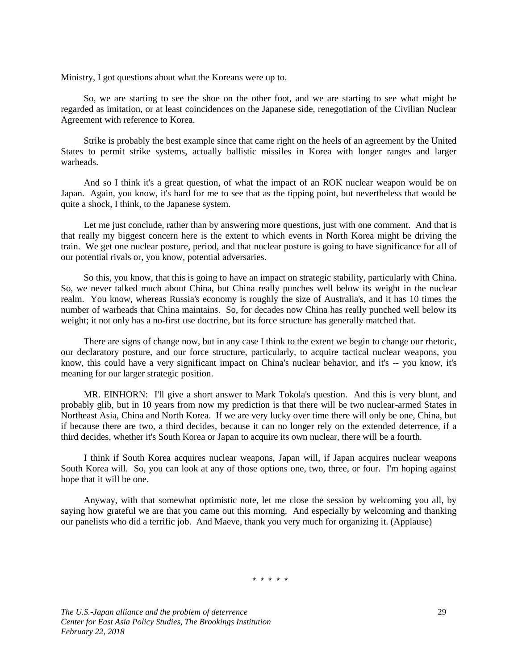Ministry, I got questions about what the Koreans were up to.

So, we are starting to see the shoe on the other foot, and we are starting to see what might be regarded as imitation, or at least coincidences on the Japanese side, renegotiation of the Civilian Nuclear Agreement with reference to Korea.

Strike is probably the best example since that came right on the heels of an agreement by the United States to permit strike systems, actually ballistic missiles in Korea with longer ranges and larger warheads.

And so I think it's a great question, of what the impact of an ROK nuclear weapon would be on Japan. Again, you know, it's hard for me to see that as the tipping point, but nevertheless that would be quite a shock, I think, to the Japanese system.

Let me just conclude, rather than by answering more questions, just with one comment. And that is that really my biggest concern here is the extent to which events in North Korea might be driving the train. We get one nuclear posture, period, and that nuclear posture is going to have significance for all of our potential rivals or, you know, potential adversaries.

So this, you know, that this is going to have an impact on strategic stability, particularly with China. So, we never talked much about China, but China really punches well below its weight in the nuclear realm. You know, whereas Russia's economy is roughly the size of Australia's, and it has 10 times the number of warheads that China maintains. So, for decades now China has really punched well below its weight; it not only has a no-first use doctrine, but its force structure has generally matched that.

There are signs of change now, but in any case I think to the extent we begin to change our rhetoric, our declaratory posture, and our force structure, particularly, to acquire tactical nuclear weapons, you know, this could have a very significant impact on China's nuclear behavior, and it's -- you know, it's meaning for our larger strategic position.

MR. EINHORN: I'll give a short answer to Mark Tokola's question. And this is very blunt, and probably glib, but in 10 years from now my prediction is that there will be two nuclear-armed States in Northeast Asia, China and North Korea. If we are very lucky over time there will only be one, China, but if because there are two, a third decides, because it can no longer rely on the extended deterrence, if a third decides, whether it's South Korea or Japan to acquire its own nuclear, there will be a fourth.

I think if South Korea acquires nuclear weapons, Japan will, if Japan acquires nuclear weapons South Korea will. So, you can look at any of those options one, two, three, or four. I'm hoping against hope that it will be one.

Anyway, with that somewhat optimistic note, let me close the session by welcoming you all, by saying how grateful we are that you came out this morning. And especially by welcoming and thanking our panelists who did a terrific job. And Maeve, thank you very much for organizing it. (Applause)

\* \* \* \* \*